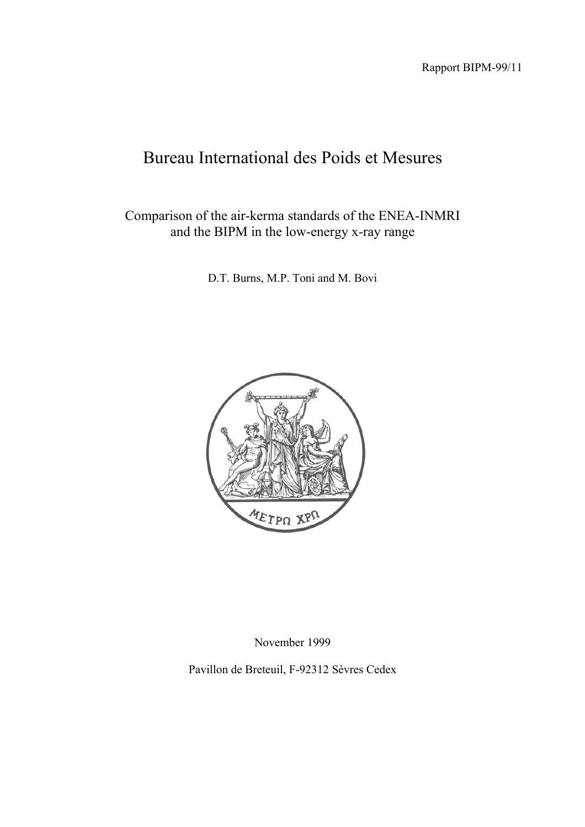Rapport BIPM-99/11

# Bureau International des Poids et Mesures

Comparison of the air-kerma standards of the ENEA-INMRI and the BIPM in the low-energy x-ray range

D.T. Burns, M.P. Toni and M. Bovi



November 1999

Pavillon de Breteuil, F-92312 Sèvres Cedex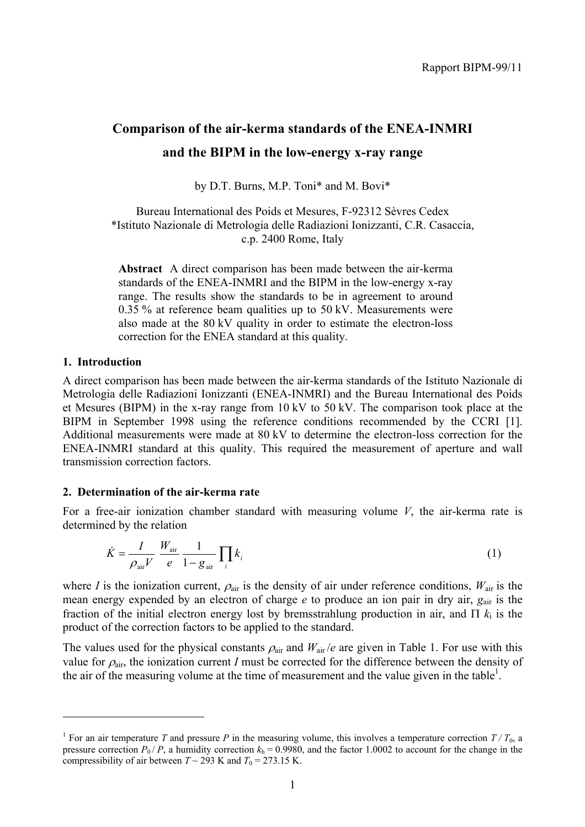## **Comparison of the air-kerma standards of the ENEA-INMRI and the BIPM in the low-energy x-ray range**

by D.T. Burns, M.P. Toni\* and M. Bovi\*

Bureau International des Poids et Mesures, F-92312 Sèvres Cedex \*Istituto Nazionale di Metrologia delle Radiazioni Ionizzanti, C.R. Casaccia, c.p. 2400 Rome, Italy

**Abstract** A direct comparison has been made between the air-kerma standards of the ENEA-INMRI and the BIPM in the low-energy x-ray range. The results show the standards to be in agreement to around  $0.35$  % at reference beam qualities up to  $50$  kV. Measurements were also made at the 80 kV quality in order to estimate the electron-loss correction for the ENEA standard at this quality.

#### **1. Introduction**

 $\overline{a}$ 

A direct comparison has been made between the air-kerma standards of the Istituto Nazionale di Metrologia delle Radiazioni Ionizzanti (ENEA-INMRI) and the Bureau International des Poids et Mesures (BIPM) in the x-ray range from 10 kV to 50 kV. The comparison took place at the BIPM in September 1998 using the reference conditions recommended by the CCRI [1]. Additional measurements were made at 80 kV to determine the electron-loss correction for the ENEA-INMRI standard at this quality. This required the measurement of aperture and wall transmission correction factors.

#### **2. Determination of the air-kerma rate**

For a free-air ionization chamber standard with measuring volume *V*, the air-kerma rate is determined by the relation

$$
\dot{K} = \frac{I}{\rho_{\text{air}}V} \frac{W_{\text{air}}}{e} \frac{1}{1 - g_{\text{air}}} \prod_{i} k_{i}
$$
\n(1)

where *I* is the ionization current,  $\rho_{air}$  is the density of air under reference conditions,  $W_{air}$  is the mean energy expended by an electron of charge *e* to produce an ion pair in dry air, *g*air is the fraction of the initial electron energy lost by bremsstrahlung production in air, and  $\Pi$   $k_i$  is the product of the correction factors to be applied to the standard.

The values used for the physical constants  $\rho_{\text{air}}$  and  $W_{\text{air}}/e$  are given in Table 1. For use with this value for  $\rho_{air}$ , the ionization current *I* must be corrected for the difference between the density of the air of the measuring volume at the time of measurement and the value given in the table<sup>1</sup>.

<sup>&</sup>lt;sup>1</sup> For an air temperature *T* and pressure *P* in the measuring volume, this involves a temperature correction  $T/T_0$ , a pressure correction  $P_0$  / *P*, a humidity correction  $k<sub>h</sub> = 0.9980$ , and the factor 1.0002 to account for the change in the compressibility of air between  $T \sim 293$  K and  $T_0 = 273.15$  K.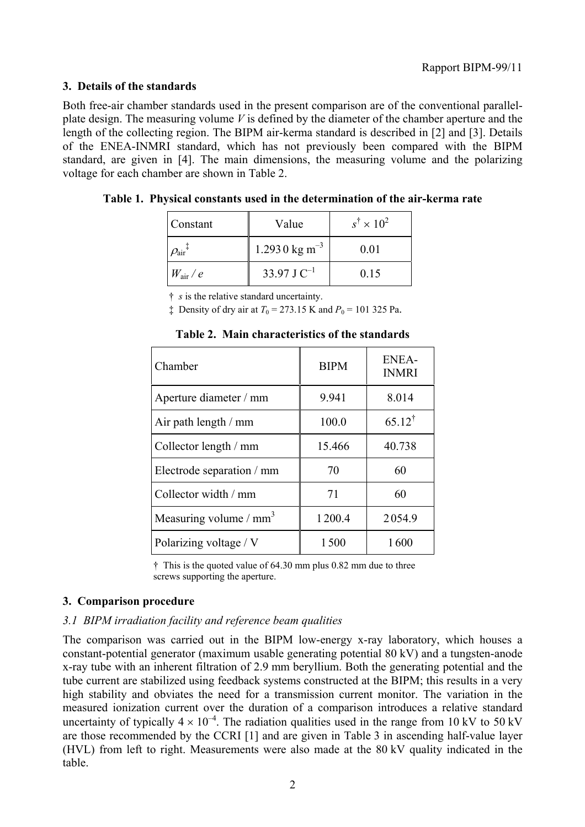#### **3. Details of the standards**

Both free-air chamber standards used in the present comparison are of the conventional parallelplate design. The measuring volume *V* is defined by the diameter of the chamber aperture and the length of the collecting region. The BIPM air-kerma standard is described in [2] and [3]. Details of the ENEA-INMRI standard, which has not previously been compared with the BIPM standard, are given in [4]. The main dimensions, the measuring volume and the polarizing voltage for each chamber are shown in Table 2.

| Constant                                 | Value                     | $s^{\dagger} \times 10^2$ |
|------------------------------------------|---------------------------|---------------------------|
| $\mathit{O}_{\textrm{air}}$ <sup>+</sup> | 1.2930 kg m <sup>-3</sup> | 0.01                      |
| $W_{\rm air}$ / $e$                      | 33.97 J $C^{-1}$          | 0.15                      |

|  | Table 1. Physical constants used in the determination of the air-kerma rate |  |
|--|-----------------------------------------------------------------------------|--|
|--|-----------------------------------------------------------------------------|--|

† *s* is the relative standard uncertainty.

 $\ddagger$  Density of dry air at  $T_0 = 273.15$  K and  $P_0 = 101$  325 Pa.

| Chamber                   | <b>BIPM</b> | <b>ENEA-</b><br><b>INMRI</b> |
|---------------------------|-------------|------------------------------|
| Aperture diameter / mm    | 9.941       | 8.014                        |
| Air path length $/$ mm    | 100.0       | $65.12^{\dagger}$            |
| Collector length / mm     | 15.466      | 40.738                       |
| Electrode separation / mm | 70          | 60                           |
| Collector width / mm      | 71          | 60                           |
| Measuring volume / $mm3$  | 1200.4      | 2054.9                       |
| Polarizing voltage / V    | 1500        | 1600                         |

**Table 2. Main characteristics of the standards**

† This is the quoted value of 64.30 mm plus 0.82 mm due to three screws supporting the aperture.

## **3. Comparison procedure**

## *3.1 BIPM irradiation facility and reference beam qualities*

The comparison was carried out in the BIPM low-energy x-ray laboratory, which houses a constant-potential generator (maximum usable generating potential 80 kV) and a tungsten-anode x-ray tube with an inherent filtration of 2.9 mm beryllium. Both the generating potential and the tube current are stabilized using feedback systems constructed at the BIPM; this results in a very high stability and obviates the need for a transmission current monitor. The variation in the measured ionization current over the duration of a comparison introduces a relative standard uncertainty of typically  $4 \times 10^{-4}$ . The radiation qualities used in the range from 10 kV to 50 kV are those recommended by the CCRI [1] and are given in Table 3 in ascending half-value layer (HVL) from left to right. Measurements were also made at the 80 kV quality indicated in the table.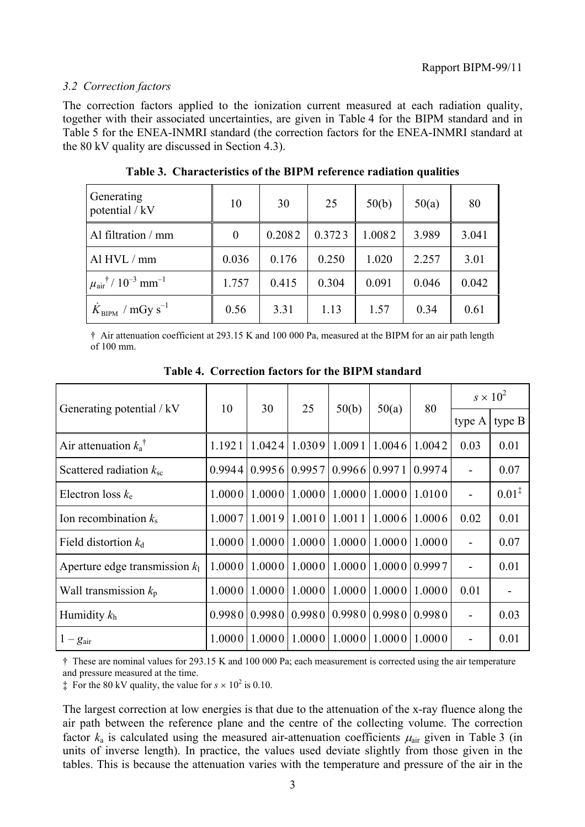## *3.2 Correction factors*

The correction factors applied to the ionization current measured at each radiation quality, together with their associated uncertainties, are given in Table 4 for the BIPM standard and in Table 5 for the ENEA-INMRI standard (the correction factors for the ENEA-INMRI standard at the 80 kV quality are discussed in Section 4.3).

| Generating<br>potential / kV                              | 10               | 30     | 25     | 50(b)  | 50(a) | 80    |
|-----------------------------------------------------------|------------------|--------|--------|--------|-------|-------|
| Al filtration / mm                                        | $\boldsymbol{0}$ | 0.2082 | 0.3723 | 1.0082 | 3.989 | 3.041 |
| Al HVL / mm                                               | 0.036            | 0.176  | 0.250  | 1.020  | 2.257 | 3.01  |
| $\mu_{\text{air}}^{\dagger}$ / $10^{-3}$ mm <sup>-1</sup> | 1.757            | 0.415  | 0.304  | 0.091  | 0.046 | 0.042 |
| $K_{\text{BIPM}}$ / mGy s <sup>-1</sup>                   | 0.56             | 3.31   | 1.13   | 1.57   | 0.34  | 0.61  |

**Table 3. Characteristics of the BIPM reference radiation qualities**

† Air attenuation coefficient at 293.15 K and 100 000 Pa, measured at the BIPM for an air path length of 100 mm.

| Generating potential / kV        | 10     | 30     | 25     | 50(b)   | 50(a)         | 80     | $s \times 10^2$          |                   |
|----------------------------------|--------|--------|--------|---------|---------------|--------|--------------------------|-------------------|
|                                  |        |        |        |         |               |        | type A                   | type B            |
| Air attenuation $k_a^{\dagger}$  | 1.1921 | 1.0424 | 1.0309 | 1.0091  | 1.0046        | 1.0042 | 0.03                     | 0.01              |
| Scattered radiation $k_{\rm sc}$ | 0.9944 | 0.9956 | 0.9957 | 0.9966  | 0.9971        | 0.9974 | $\overline{\phantom{0}}$ | 0.07              |
| Electron loss $k_e$              | 1.0000 | 1.0000 | 1.0000 | 1.00001 | 1.000011.0100 |        | $\overline{a}$           | $0.01^{\ddagger}$ |
| Ion recombination $k_s$          | 1.0007 | 1.0019 | 1.0010 | 1.0011  | 1.0006        | 1.0006 | 0.02                     | 0.01              |
| Field distortion $k_d$           | 1.0000 | 1.0000 | 1.0000 | 1.0000  | 1.000011.0000 |        | $\overline{\phantom{0}}$ | 0.07              |
| Aperture edge transmission $k_1$ | 1.0000 | 1.0000 | 1.0000 | 1.0000  | 1.000010.9997 |        | $\overline{a}$           | 0.01              |
| Wall transmission $k_p$          | 1.0000 | 1.0000 | 1.0000 | 1.0000  | 1.0000        | 1.0000 | 0.01                     |                   |
| Humidity $k_h$                   | 0.9980 | 0.9980 | 0.9980 | 0.9980  | 0.998010.9980 |        | $\overline{\phantom{0}}$ | 0.03              |
| $1-g_{\text{air}}$               | 1.0000 | 1.0000 | 1.0000 | 1.0000  | 1.0000        | 1.0000 | $\overline{\phantom{a}}$ | 0.01              |

**Table 4. Correction factors for the BIPM standard**

† These are nominal values for 293.15 K and 100 000 Pa; each measurement is corrected using the air temperature and pressure measured at the time.

 $\ddagger$  For the 80 kV quality, the value for  $s \times 10^2$  is 0.10.

The largest correction at low energies is that due to the attenuation of the x-ray fluence along the air path between the reference plane and the centre of the collecting volume. The correction factor  $k_a$  is calculated using the measured air-attenuation coefficients  $\mu_{air}$  given in Table 3 (in units of inverse length). In practice, the values used deviate slightly from those given in the tables. This is because the attenuation varies with the temperature and pressure of the air in the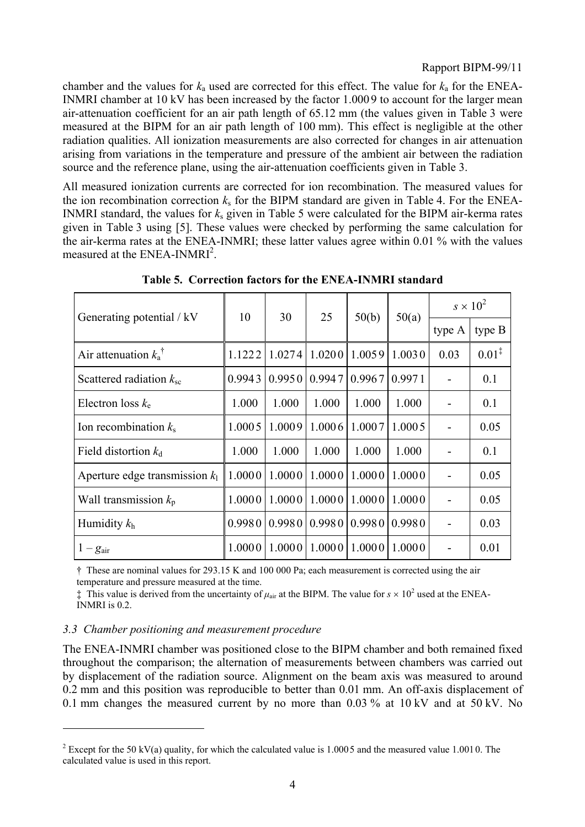chamber and the values for  $k_a$  used are corrected for this effect. The value for  $k_a$  for the ENEA-INMRI chamber at 10 kV has been increased by the factor 1.0009 to account for the larger mean air-attenuation coefficient for an air path length of 65.12 mm (the values given in Table 3 were measured at the BIPM for an air path length of 100 mm). This effect is negligible at the other radiation qualities. All ionization measurements are also corrected for changes in air attenuation arising from variations in the temperature and pressure of the ambient air between the radiation source and the reference plane, using the air-attenuation coefficients given in Table 3.

All measured ionization currents are corrected for ion recombination. The measured values for the ion recombination correction  $k<sub>s</sub>$  for the BIPM standard are given in Table 4. For the ENEA-INMRI standard, the values for *k*s given in Table 5 were calculated for the BIPM air-kerma rates given in Table 3 using [5]. These values were checked by performing the same calculation for the air-kerma rates at the ENEA-INMRI; these latter values agree within 0.01 % with the values measured at the ENEA-INMRI<sup>2</sup>.

| Generating potential / kV        | 10     | 30     | 25     | 50(b)  | 50(a)  | $s \times 10^2$ |                   |
|----------------------------------|--------|--------|--------|--------|--------|-----------------|-------------------|
|                                  |        |        |        |        |        | type A          | type $B$          |
| Air attenuation $k_a^{\dagger}$  | 1.1222 | 1.0274 | 1.0200 | 1.0059 | 1.0030 | 0.03            | $0.01^{\ddagger}$ |
| Scattered radiation $k_{\rm sc}$ | 0.9943 | 0.9950 | 0.9947 | 0.9967 | 0.9971 |                 | 0.1               |
| Electron loss $k_e$              | 1.000  | 1.000  | 1.000  | 1.000  | 1.000  |                 | 0.1               |
| Ion recombination $k_s$          | 1.0005 | 1.0009 | 1.0006 | 1.0007 | 1.0005 |                 | 0.05              |
| Field distortion $k_d$           | 1.000  | 1.000  | 1.000  | 1.000  | 1.000  |                 | 0.1               |
| Aperture edge transmission $k_1$ | 1.0000 | 1.0000 | 1.0000 | 1.0000 | 1.0000 |                 | 0.05              |
| Wall transmission $k_p$          | 1.0000 | 1.0000 | 1.0000 | 1.0000 | 1.0000 |                 | 0.05              |
| Humidity $k_h$                   | 0.9980 | 0.9980 | 0.9980 | 0.9980 | 0.9980 |                 | 0.03              |
| $1-g_{\text{air}}$               | 1.0000 | 1.0000 | 1.0000 | 1.0000 | 1.0000 |                 | 0.01              |

**Table 5. Correction factors for the ENEA-INMRI standard**

† These are nominal values for 293.15 K and 100 000 Pa; each measurement is corrected using the air temperature and pressure measured at the time.

 $\ddagger$  This value is derived from the uncertainty of  $\mu_{air}$  at the BIPM. The value for  $s \times 10^2$  used at the ENEA-INMRI is 0.2.

#### *3.3 Chamber positioning and measurement procedure*

 $\overline{a}$ 

The ENEA-INMRI chamber was positioned close to the BIPM chamber and both remained fixed throughout the comparison; the alternation of measurements between chambers was carried out by displacement of the radiation source. Alignment on the beam axis was measured to around 0.2 mm and this position was reproducible to better than 0.01 mm. An off-axis displacement of 0.1 mm changes the measured current by no more than 0.03 % at 10 kV and at 50 kV. No

<sup>&</sup>lt;sup>2</sup> Except for the 50 kV(a) quality, for which the calculated value is 1.0005 and the measured value 1.0010. The calculated value is used in this report.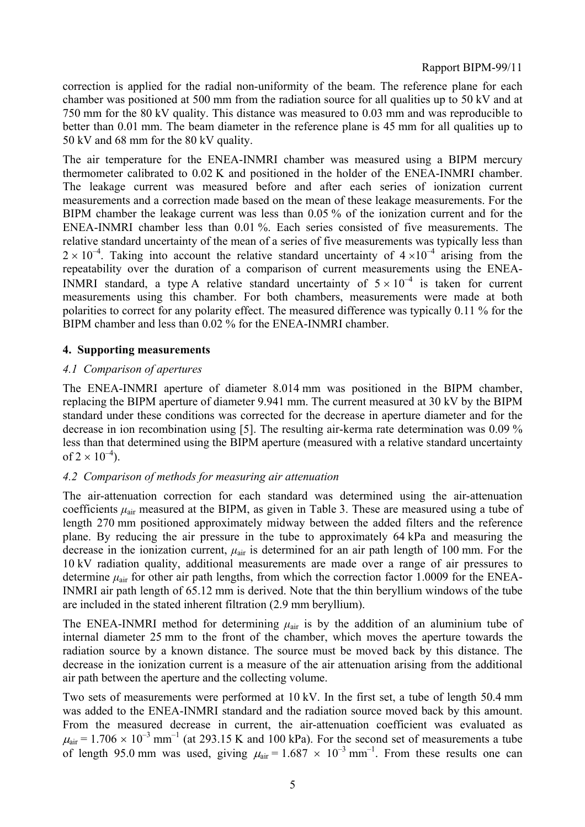correction is applied for the radial non-uniformity of the beam. The reference plane for each chamber was positioned at 500 mm from the radiation source for all qualities up to 50 kV and at 750 mm for the 80 kV quality. This distance was measured to 0.03 mm and was reproducible to better than 0.01 mm. The beam diameter in the reference plane is 45 mm for all qualities up to 50 kV and 68 mm for the 80 kV quality.

The air temperature for the ENEA-INMRI chamber was measured using a BIPM mercury thermometer calibrated to 0.02 K and positioned in the holder of the ENEA-INMRI chamber. The leakage current was measured before and after each series of ionization current measurements and a correction made based on the mean of these leakage measurements. For the BIPM chamber the leakage current was less than 0.05 % of the ionization current and for the ENEA-INMRI chamber less than 0.01 %. Each series consisted of five measurements. The relative standard uncertainty of the mean of a series of five measurements was typically less than  $2 \times 10^{-4}$ . Taking into account the relative standard uncertainty of  $4 \times 10^{-4}$  arising from the repeatability over the duration of a comparison of current measurements using the ENEA-INMRI standard, a type A relative standard uncertainty of  $5 \times 10^{-4}$  is taken for current measurements using this chamber. For both chambers, measurements were made at both polarities to correct for any polarity effect. The measured difference was typically 0.11 % for the BIPM chamber and less than 0.02 % for the ENEA-INMRI chamber.

#### **4. Supporting measurements**

#### *4.1 Comparison of apertures*

The ENEA-INMRI aperture of diameter 8.014 mm was positioned in the BIPM chamber, replacing the BIPM aperture of diameter 9.941 mm. The current measured at 30 kV by the BIPM standard under these conditions was corrected for the decrease in aperture diameter and for the decrease in ion recombination using [5]. The resulting air-kerma rate determination was 0.09 % less than that determined using the BIPM aperture (measured with a relative standard uncertainty of  $2 \times 10^{-4}$ ).

#### *4.2 Comparison of methods for measuring air attenuation*

The air-attenuation correction for each standard was determined using the air-attenuation coefficients *µ*air measured at the BIPM, as given in Table 3. These are measured using a tube of length 270 mm positioned approximately midway between the added filters and the reference plane. By reducing the air pressure in the tube to approximately 64 kPa and measuring the decrease in the ionization current, *µ*air is determined for an air path length of 100 mm. For the 10 kV radiation quality, additional measurements are made over a range of air pressures to determine  $\mu_{air}$  for other air path lengths, from which the correction factor 1.0009 for the ENEA-INMRI air path length of 65.12 mm is derived. Note that the thin beryllium windows of the tube are included in the stated inherent filtration (2.9 mm beryllium).

The ENEA-INMRI method for determining  $\mu_{air}$  is by the addition of an aluminium tube of internal diameter 25 mm to the front of the chamber, which moves the aperture towards the radiation source by a known distance. The source must be moved back by this distance. The decrease in the ionization current is a measure of the air attenuation arising from the additional air path between the aperture and the collecting volume.

Two sets of measurements were performed at 10 kV. In the first set, a tube of length 50.4 mm was added to the ENEA-INMRI standard and the radiation source moved back by this amount. From the measured decrease in current, the air-attenuation coefficient was evaluated as  $\mu_{\text{air}} = 1.706 \times 10^{-3}$  mm<sup>-1</sup> (at 293.15 K and 100 kPa). For the second set of measurements a tube of length 95.0 mm was used, giving  $\mu_{air} = 1.687 \times 10^{-3}$  mm<sup>-1</sup>. From these results one can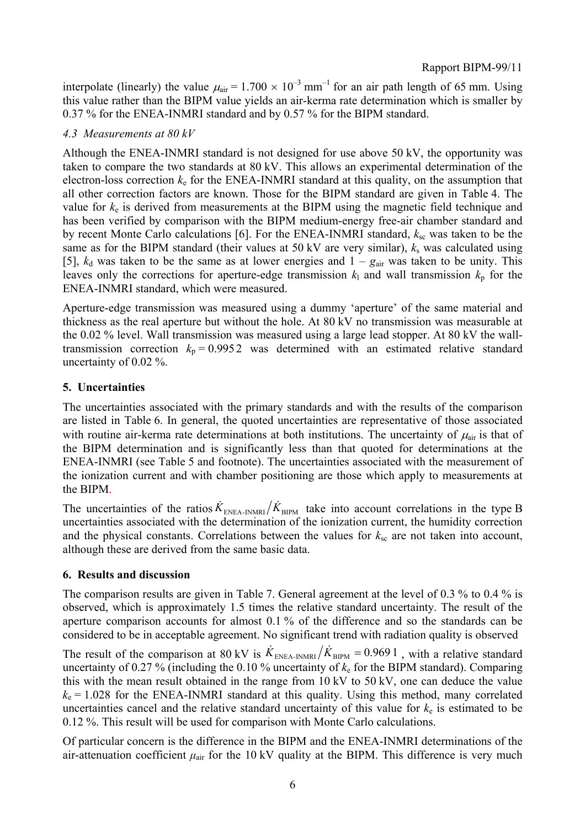interpolate (linearly) the value  $\mu_{air} = 1.700 \times 10^{-3}$  mm<sup>-1</sup> for an air path length of 65 mm. Using this value rather than the BIPM value yields an air-kerma rate determination which is smaller by 0.37 % for the ENEA-INMRI standard and by 0.57 % for the BIPM standard.

## *4.3 Measurements at 80 kV*

Although the ENEA-INMRI standard is not designed for use above 50 kV, the opportunity was taken to compare the two standards at 80 kV. This allows an experimental determination of the electron-loss correction  $k<sub>e</sub>$  for the ENEA-INMRI standard at this quality, on the assumption that all other correction factors are known. Those for the BIPM standard are given in Table 4. The value for *k*e is derived from measurements at the BIPM using the magnetic field technique and has been verified by comparison with the BIPM medium-energy free-air chamber standard and by recent Monte Carlo calculations [6]. For the ENEA-INMRI standard,  $k_{\rm sc}$  was taken to be the same as for the BIPM standard (their values at 50 kV are very similar),  $k_s$  was calculated using [5],  $k_d$  was taken to be the same as at lower energies and  $1 - g_{air}$  was taken to be unity. This leaves only the corrections for aperture-edge transmission  $k_1$  and wall transmission  $k_p$  for the ENEA-INMRI standard, which were measured.

Aperture-edge transmission was measured using a dummy 'aperture' of the same material and thickness as the real aperture but without the hole. At 80 kV no transmission was measurable at the 0.02 % level. Wall transmission was measured using a large lead stopper. At 80 kV the walltransmission correction  $k_p = 0.9952$  was determined with an estimated relative standard uncertainty of 0.02 %.

## **5. Uncertainties**

The uncertainties associated with the primary standards and with the results of the comparison are listed in Table 6. In general, the quoted uncertainties are representative of those associated with routine air-kerma rate determinations at both institutions. The uncertainty of  $\mu_{\text{air}}$  is that of the BIPM determination and is significantly less than that quoted for determinations at the ENEA-INMRI (see Table 5 and footnote). The uncertainties associated with the measurement of the ionization current and with chamber positioning are those which apply to measurements at the BIPM.

The uncertainties of the ratios  $\dot{K}_{ENEA-INMRI} / \dot{K}_{BIPM}$  take into account correlations in the type B uncertainties associated with the determination of the ionization current, the humidity correction and the physical constants. Correlations between the values for  $k_{\rm sc}$  are not taken into account, although these are derived from the same basic data.

#### **6. Results and discussion**

The comparison results are given in Table 7. General agreement at the level of 0.3 % to 0.4 % is observed, which is approximately 1.5 times the relative standard uncertainty. The result of the aperture comparison accounts for almost 0.1 % of the difference and so the standards can be considered to be in acceptable agreement. No significant trend with radiation quality is observed

The result of the comparison at 80 kV is  $\dot{K}_{\text{ENEA-INMRI}} / \dot{K}_{\text{BIPM}} = 0.9691$ , with a relative standard uncertainty of 0.27 % (including the 0.10 % uncertainty of  $k<sub>e</sub>$  for the BIPM standard). Comparing this with the mean result obtained in the range from 10 kV to 50 kV, one can deduce the value  $k<sub>e</sub> = 1.028$  for the ENEA-INMRI standard at this quality. Using this method, many correlated uncertainties cancel and the relative standard uncertainty of this value for  $k<sub>e</sub>$  is estimated to be 0.12 %. This result will be used for comparison with Monte Carlo calculations.

Of particular concern is the difference in the BIPM and the ENEA-INMRI determinations of the air-attenuation coefficient  $\mu_{air}$  for the 10 kV quality at the BIPM. This difference is very much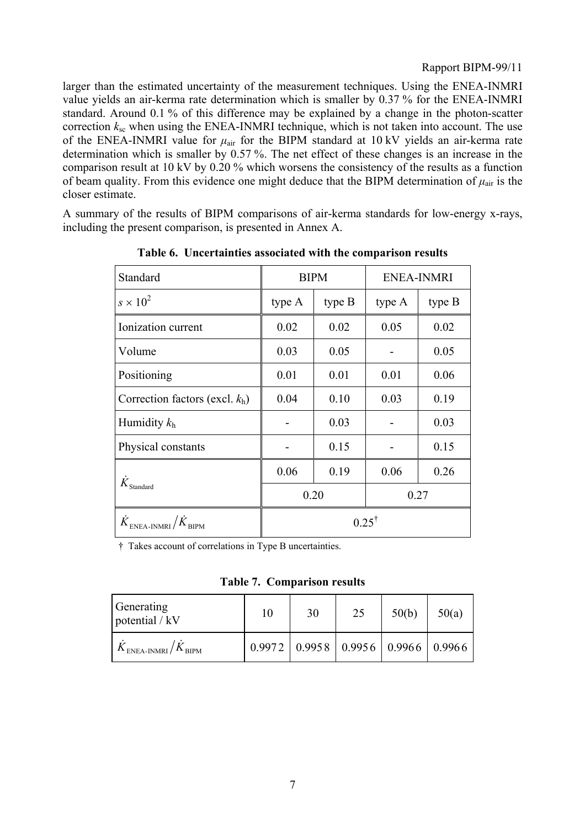larger than the estimated uncertainty of the measurement techniques. Using the ENEA-INMRI value yields an air-kerma rate determination which is smaller by 0.37 % for the ENEA-INMRI standard. Around 0.1 % of this difference may be explained by a change in the photon-scatter correction  $k_{sc}$  when using the ENEA-INMRI technique, which is not taken into account. The use of the ENEA-INMRI value for  $\mu_{air}$  for the BIPM standard at 10 kV yields an air-kerma rate determination which is smaller by 0.57 %. The net effect of these changes is an increase in the comparison result at 10 kV by 0.20 % which worsens the consistency of the results as a function of beam quality. From this evidence one might deduce that the BIPM determination of  $\mu_{air}$  is the closer estimate.

A summary of the results of BIPM comparisons of air-kerma standards for low-energy x-rays, including the present comparison, is presented in Annex A.

| Standard                                                         |                  | <b>BIPM</b> | <b>ENEA-INMRI</b> |        |  |
|------------------------------------------------------------------|------------------|-------------|-------------------|--------|--|
| $s \times 10^2$                                                  | type A           | type B      |                   | type B |  |
| Ionization current                                               | 0.02             | 0.02        | 0.05              | 0.02   |  |
| Volume                                                           | 0.03             | 0.05        |                   | 0.05   |  |
| Positioning                                                      | 0.01<br>0.01     |             | 0.01              | 0.06   |  |
| Correction factors (excl. $k_h$ )                                | 0.04             | 0.10        | 0.03              | 0.19   |  |
| Humidity $k_h$                                                   | 0.03             |             |                   | 0.03   |  |
| Physical constants                                               | 0.15             |             |                   | 0.15   |  |
|                                                                  | 0.06<br>0.19     |             | 0.06<br>0.26      |        |  |
| $\dot{K}_{\rm Standard}$                                         |                  | 0.20        | 0.27              |        |  |
| $\dot{K}_{\tiny \rm ENEA\text{-}INMRI}/\dot{K}_{\tiny \rm BIPM}$ | $0.25^{\dagger}$ |             |                   |        |  |

**Table 6. Uncertainties associated with the comparison results**

† Takes account of correlations in Type B uncertainties.

**Table 7. Comparison results**

| Generating<br>potential / kV                                                   | 10 | 30                                           | 25 | 50(b) | 50(a) |
|--------------------------------------------------------------------------------|----|----------------------------------------------|----|-------|-------|
| $K_{\scriptscriptstyle \rm ENEA\text{-}INMRI}/K_{\scriptscriptstyle \rm BIPM}$ |    | $0.9972$   0.9958   0.9956   0.9966   0.9966 |    |       |       |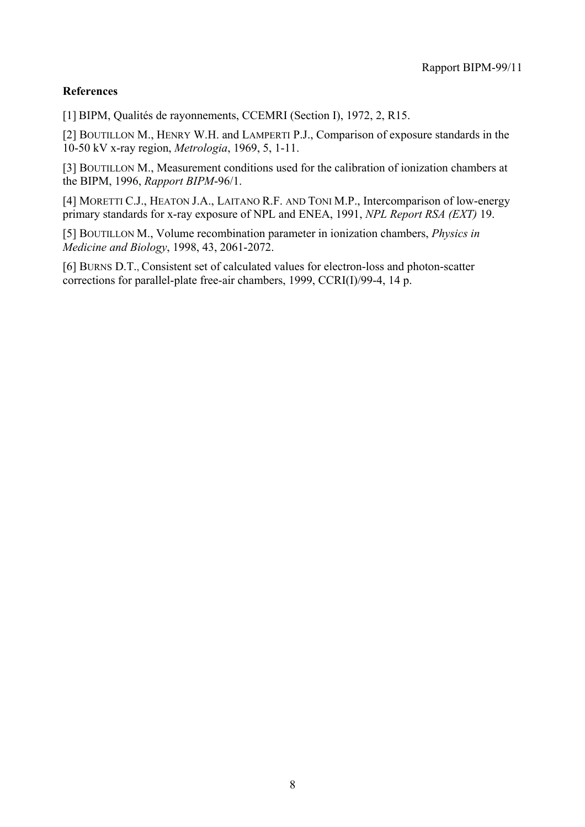## **References**

[1] BIPM, Qualités de rayonnements, CCEMRI (Section I), 1972, 2, R15.

[2] BOUTILLON M., HENRY W.H. and LAMPERTI P.J., Comparison of exposure standards in the 10-50 kV x-ray region, *Metrologia*, 1969, 5, 1-11.

[3] BOUTILLON M., Measurement conditions used for the calibration of ionization chambers at the BIPM, 1996, *Rapport BIPM*-96/1.

[4] MORETTI C.J., HEATON J.A., LAITANO R.F. AND TONI M.P., Intercomparison of low-energy primary standards for x-ray exposure of NPL and ENEA, 1991, *NPL Report RSA (EXT)* 19.

[5] BOUTILLON M., Volume recombination parameter in ionization chambers, *Physics in Medicine and Biology*, 1998, 43, 2061-2072.

[6] BURNS D.T., Consistent set of calculated values for electron-loss and photon-scatter corrections for parallel-plate free-air chambers, 1999, CCRI(I)/99-4, 14 p.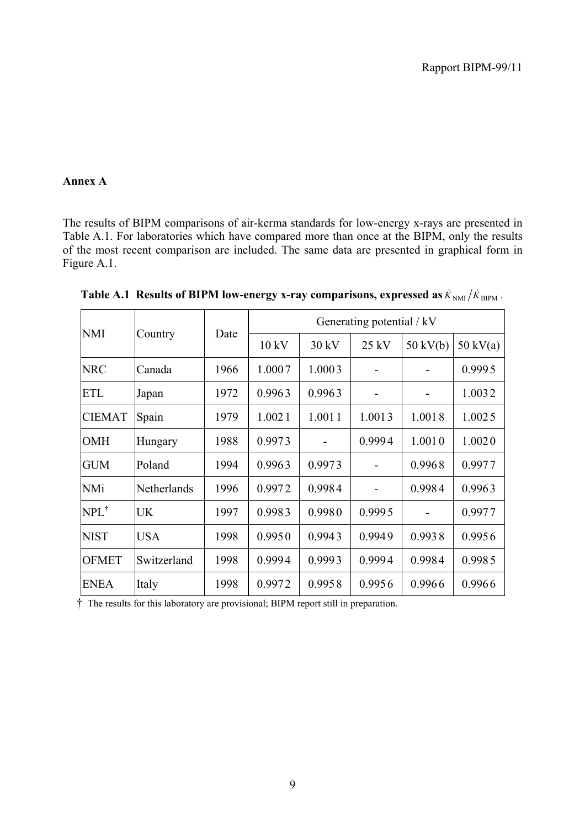## **Annex A**

The results of BIPM comparisons of air-kerma standards for low-energy x-rays are presented in Table A.1. For laboratories which have compared more than once at the BIPM, only the results of the most recent comparison are included. The same data are presented in graphical form in Figure A.1.

| <b>NMI</b>      |             | Date | Generating potential / kV |        |         |                    |                    |  |
|-----------------|-------------|------|---------------------------|--------|---------|--------------------|--------------------|--|
|                 | Country     |      | 10 kV                     | 30 kV  | $25$ kV | $50 \text{ kV(b)}$ | $50 \text{ kV(a)}$ |  |
| <b>NRC</b>      | Canada      | 1966 | 1.0007                    | 1.0003 |         |                    | 0.9995             |  |
| <b>ETL</b>      | Japan       | 1972 | 0.9963                    | 0.9963 |         |                    | 1.0032             |  |
| <b>CIEMAT</b>   | Spain       | 1979 | 1.0021                    | 1.0011 | 1.0013  | 1.0018             | 1.0025             |  |
| <b>OMH</b>      | Hungary     | 1988 | 0.9973                    |        | 0.9994  | 1.0010             | 1.0020             |  |
| <b>GUM</b>      | Poland      | 1994 | 0.9963                    | 0.9973 |         | 0.9968             | 0.9977             |  |
| <b>NMi</b>      | Netherlands | 1996 | 0.9972                    | 0.9984 |         | 0.9984             | 0.9963             |  |
| $NPL^{\dagger}$ | <b>UK</b>   | 1997 | 0.9983                    | 0.9980 | 0.9995  |                    | 0.9977             |  |
| <b>NIST</b>     | <b>USA</b>  | 1998 | 0.9950                    | 0.9943 | 0.9949  | 0.9938             | 0.9956             |  |
| <b>OFMET</b>    | Switzerland | 1998 | 0.9994                    | 0.9993 | 0.9994  | 0.9984             | 0.9985             |  |
| <b>ENEA</b>     | Italy       | 1998 | 0.9972                    | 0.9958 | 0.9956  | 0.9966             | 0.9966             |  |

**Table A.1 Results of BIPM low-energy x-ray comparisons, expressed as**  $\dot{K}_{NMI}/\dot{K}_{\text{BIPM}}$ **.** 

† The results for this laboratory are provisional; BIPM report still in preparation.